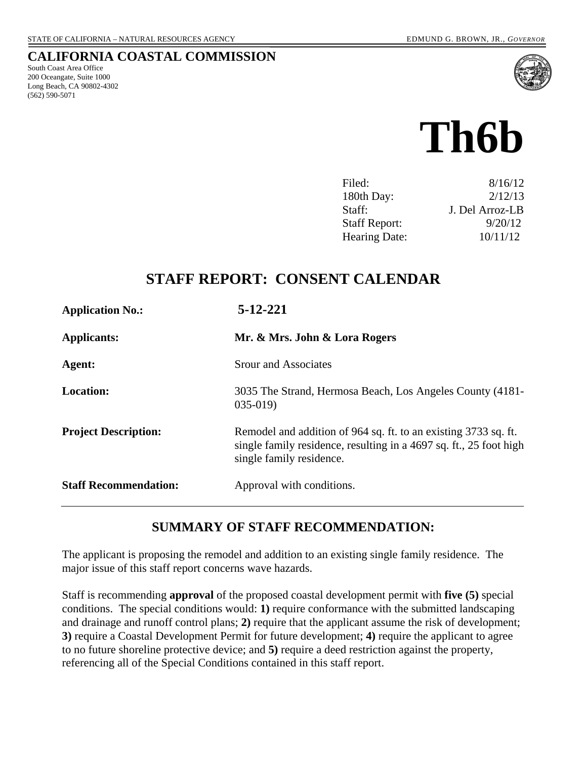South Coast Area Office 200 Oceangate, Suite 1000 Long Beach, CA 90802-4302

(562) 590-5071

**CALIFORNIA COASTAL COMMISSION** 

# **Th6b**

| Filed:               | 8/16/12         |
|----------------------|-----------------|
| 180th Day:           | 2/12/13         |
| Staff:               | J. Del Arroz-LB |
| <b>Staff Report:</b> | 9/20/12         |
| Hearing Date:        | 10/11/12        |

# **STAFF REPORT: CONSENT CALENDAR**

| <b>Application No.:</b>      | 5-12-221                                                                                                                                                          |
|------------------------------|-------------------------------------------------------------------------------------------------------------------------------------------------------------------|
| <b>Applicants:</b>           | Mr. & Mrs. John & Lora Rogers                                                                                                                                     |
| Agent:                       | Srour and Associates                                                                                                                                              |
| <b>Location:</b>             | 3035 The Strand, Hermosa Beach, Los Angeles County (4181-<br>$035-019$                                                                                            |
| <b>Project Description:</b>  | Remodel and addition of 964 sq. ft. to an existing 3733 sq. ft.<br>single family residence, resulting in a 4697 sq. ft., 25 foot high<br>single family residence. |
| <b>Staff Recommendation:</b> | Approval with conditions.                                                                                                                                         |

# **SUMMARY OF STAFF RECOMMENDATION:**

The applicant is proposing the remodel and addition to an existing single family residence. The major issue of this staff report concerns wave hazards.

Staff is recommending **approval** of the proposed coastal development permit with **five (5)** special conditions. The special conditions would: **1)** require conformance with the submitted landscaping and drainage and runoff control plans; **2)** require that the applicant assume the risk of development; **3)** require a Coastal Development Permit for future development; **4)** require the applicant to agree to no future shoreline protective device; and **5)** require a deed restriction against the property, referencing all of the Special Conditions contained in this staff report.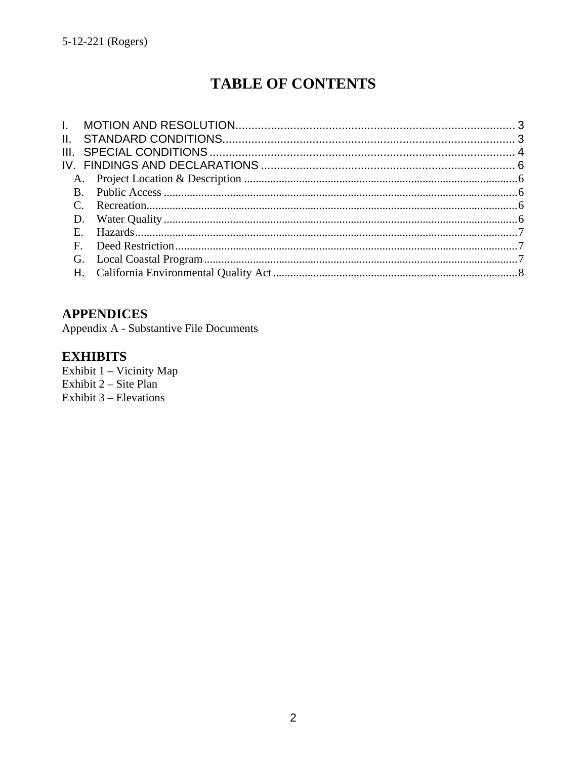# **TABLE OF CONTENTS**

# **APPENDICES**

Appendix A - Substantive File Documents

# **EXHIBITS**

Exhibit 1 - Vicinity Map Exhibit  $2 - \text{Site Plan}$ Exhibit  $3$  – Elevations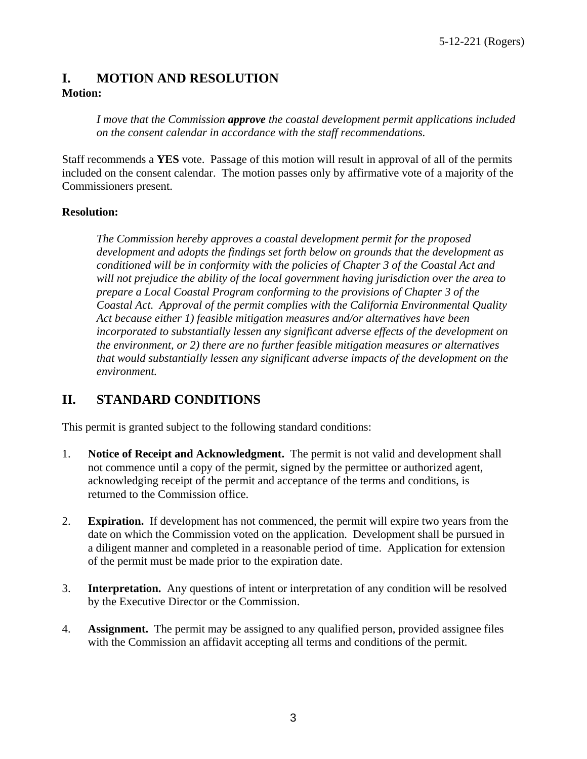# <span id="page-2-0"></span>**I. MOTION AND RESOLUTION Motion:**

*I move that the Commission approve the coastal development permit applications included on the consent calendar in accordance with the staff recommendations.*

Staff recommends a **YES** vote. Passage of this motion will result in approval of all of the permits included on the consent calendar. The motion passes only by affirmative vote of a majority of the Commissioners present.

#### **Resolution:**

*The Commission hereby approves a coastal development permit for the proposed development and adopts the findings set forth below on grounds that the development as conditioned will be in conformity with the policies of Chapter 3 of the Coastal Act and will not prejudice the ability of the local government having jurisdiction over the area to prepare a Local Coastal Program conforming to the provisions of Chapter 3 of the Coastal Act. Approval of the permit complies with the California Environmental Quality Act because either 1) feasible mitigation measures and/or alternatives have been incorporated to substantially lessen any significant adverse effects of the development on the environment, or 2) there are no further feasible mitigation measures or alternatives that would substantially lessen any significant adverse impacts of the development on the environment.* 

# <span id="page-2-1"></span>**II. STANDARD CONDITIONS**

This permit is granted subject to the following standard conditions:

- 1. **Notice of Receipt and Acknowledgment.** The permit is not valid and development shall not commence until a copy of the permit, signed by the permittee or authorized agent, acknowledging receipt of the permit and acceptance of the terms and conditions, is returned to the Commission office.
- 2. **Expiration.** If development has not commenced, the permit will expire two years from the date on which the Commission voted on the application. Development shall be pursued in a diligent manner and completed in a reasonable period of time. Application for extension of the permit must be made prior to the expiration date.
- 3. **Interpretation.** Any questions of intent or interpretation of any condition will be resolved by the Executive Director or the Commission.
- 4. **Assignment.** The permit may be assigned to any qualified person, provided assignee files with the Commission an affidavit accepting all terms and conditions of the permit.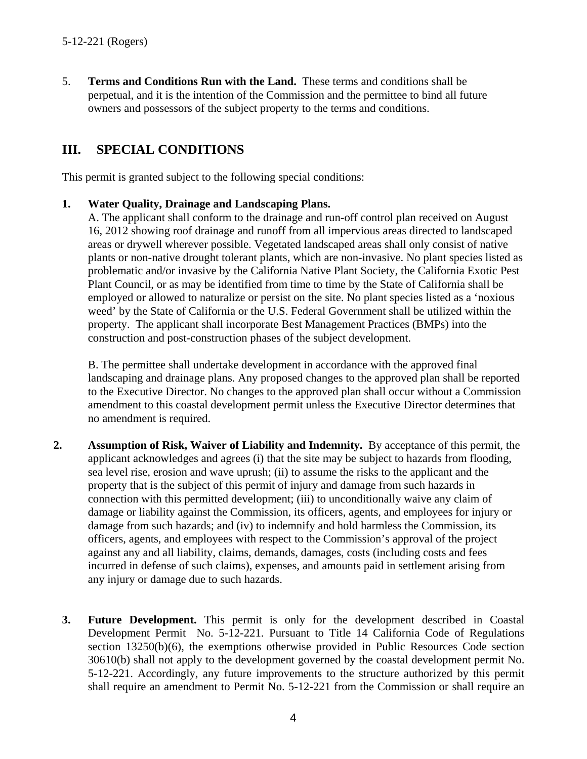5. **Terms and Conditions Run with the Land.** These terms and conditions shall be perpetual, and it is the intention of the Commission and the permittee to bind all future owners and possessors of the subject property to the terms and conditions.

# <span id="page-3-0"></span>**III. SPECIAL CONDITIONS**

This permit is granted subject to the following special conditions:

#### **1. Water Quality, Drainage and Landscaping Plans.**

A. The applicant shall conform to the drainage and run-off control plan received on August 16, 2012 showing roof drainage and runoff from all impervious areas directed to landscaped areas or drywell wherever possible. Vegetated landscaped areas shall only consist of native plants or non-native drought tolerant plants, which are non-invasive. No plant species listed as problematic and/or invasive by the California Native Plant Society, the California Exotic Pest Plant Council, or as may be identified from time to time by the State of California shall be employed or allowed to naturalize or persist on the site. No plant species listed as a 'noxious weed' by the State of California or the U.S. Federal Government shall be utilized within the property. The applicant shall incorporate Best Management Practices (BMPs) into the construction and post-construction phases of the subject development.

B. The permittee shall undertake development in accordance with the approved final landscaping and drainage plans. Any proposed changes to the approved plan shall be reported to the Executive Director. No changes to the approved plan shall occur without a Commission amendment to this coastal development permit unless the Executive Director determines that no amendment is required.

- **2. Assumption of Risk, Waiver of Liability and Indemnity.** By acceptance of this permit, the applicant acknowledges and agrees (i) that the site may be subject to hazards from flooding, sea level rise, erosion and wave uprush; (ii) to assume the risks to the applicant and the property that is the subject of this permit of injury and damage from such hazards in connection with this permitted development; (iii) to unconditionally waive any claim of damage or liability against the Commission, its officers, agents, and employees for injury or damage from such hazards; and (iv) to indemnify and hold harmless the Commission, its officers, agents, and employees with respect to the Commission's approval of the project against any and all liability, claims, demands, damages, costs (including costs and fees incurred in defense of such claims), expenses, and amounts paid in settlement arising from any injury or damage due to such hazards.
	- **3. Future Development.** This permit is only for the development described in Coastal Development Permit No. 5-12-221. Pursuant to Title 14 California Code of Regulations section 13250(b)(6), the exemptions otherwise provided in Public Resources Code section 30610(b) shall not apply to the development governed by the coastal development permit No. 5-12-221. Accordingly, any future improvements to the structure authorized by this permit shall require an amendment to Permit No. 5-12-221 from the Commission or shall require an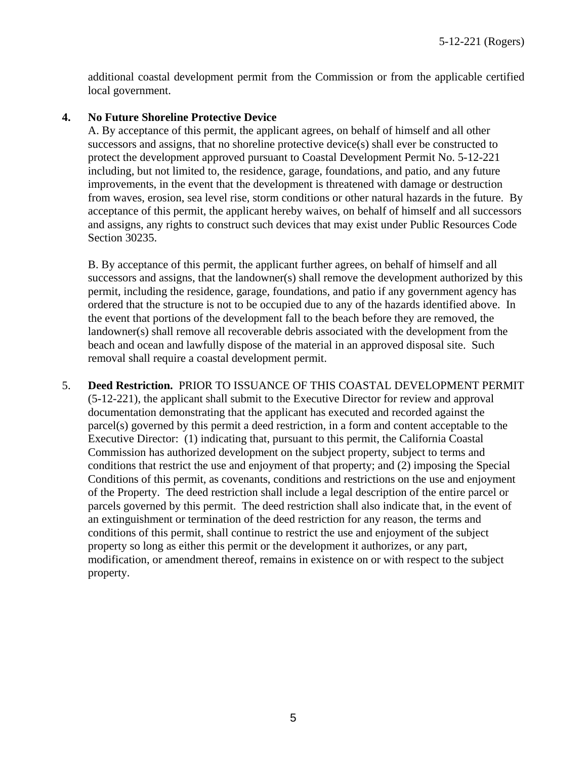additional coastal development permit from the Commission or from the applicable certified local government.

#### **4. No Future Shoreline Protective Device**

A. By acceptance of this permit, the applicant agrees, on behalf of himself and all other successors and assigns, that no shoreline protective device(s) shall ever be constructed to protect the development approved pursuant to Coastal Development Permit No. 5-12-221 including, but not limited to, the residence, garage, foundations, and patio, and any future improvements, in the event that the development is threatened with damage or destruction from waves, erosion, sea level rise, storm conditions or other natural hazards in the future. By acceptance of this permit, the applicant hereby waives, on behalf of himself and all successors and assigns, any rights to construct such devices that may exist under Public Resources Code Section 30235.

B. By acceptance of this permit, the applicant further agrees, on behalf of himself and all successors and assigns, that the landowner(s) shall remove the development authorized by this permit, including the residence, garage, foundations, and patio if any government agency has ordered that the structure is not to be occupied due to any of the hazards identified above. In the event that portions of the development fall to the beach before they are removed, the landowner(s) shall remove all recoverable debris associated with the development from the beach and ocean and lawfully dispose of the material in an approved disposal site. Such removal shall require a coastal development permit.

5. **Deed Restriction.** PRIOR TO ISSUANCE OF THIS COASTAL DEVELOPMENT PERMIT (5-12-221), the applicant shall submit to the Executive Director for review and approval documentation demonstrating that the applicant has executed and recorded against the parcel(s) governed by this permit a deed restriction, in a form and content acceptable to the Executive Director: (1) indicating that, pursuant to this permit, the California Coastal Commission has authorized development on the subject property, subject to terms and conditions that restrict the use and enjoyment of that property; and (2) imposing the Special Conditions of this permit, as covenants, conditions and restrictions on the use and enjoyment of the Property. The deed restriction shall include a legal description of the entire parcel or parcels governed by this permit. The deed restriction shall also indicate that, in the event of an extinguishment or termination of the deed restriction for any reason, the terms and conditions of this permit, shall continue to restrict the use and enjoyment of the subject property so long as either this permit or the development it authorizes, or any part, modification, or amendment thereof, remains in existence on or with respect to the subject property.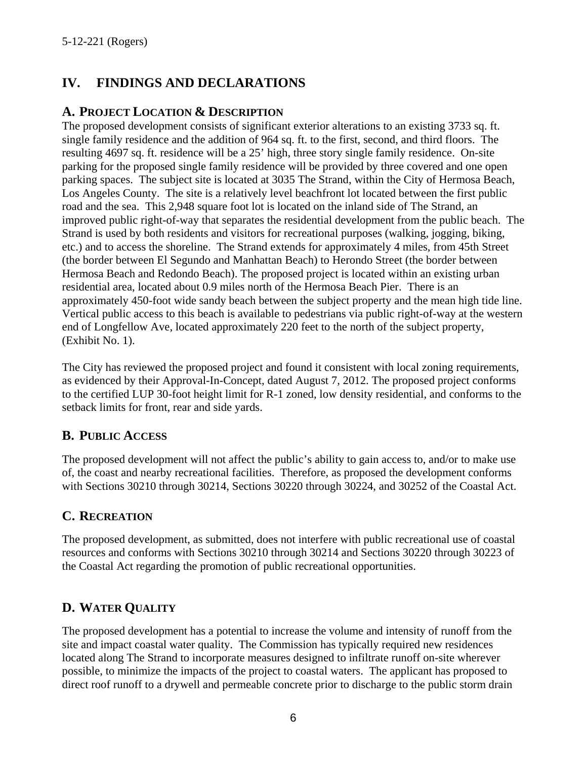# <span id="page-5-0"></span>**IV. FINDINGS AND DECLARATIONS**

## <span id="page-5-1"></span>**A. PROJECT LOCATION & DESCRIPTION**

The proposed development consists of significant exterior alterations to an existing 3733 sq. ft. single family residence and the addition of 964 sq. ft. to the first, second, and third floors. The resulting 4697 sq. ft. residence will be a 25' high, three story single family residence. On-site parking for the proposed single family residence will be provided by three covered and one open parking spaces. The subject site is located at 3035 The Strand, within the City of Hermosa Beach, Los Angeles County. The site is a relatively level beachfront lot located between the first public road and the sea. This 2,948 square foot lot is located on the inland side of The Strand, an improved public right-of-way that separates the residential development from the public beach. The Strand is used by both residents and visitors for recreational purposes (walking, jogging, biking, etc.) and to access the shoreline. The Strand extends for approximately 4 miles, from 45th Street (the border between El Segundo and Manhattan Beach) to Herondo Street (the border between Hermosa Beach and Redondo Beach). The proposed project is located within an existing urban residential area, located about 0.9 miles north of the Hermosa Beach Pier. There is an approximately 450-foot wide sandy beach between the subject property and the mean high tide line. Vertical public access to this beach is available to pedestrians via public right-of-way at the western end of Longfellow Ave, located approximately 220 feet to the north of the subject property, (Exhibit No. 1).

The City has reviewed the proposed project and found it consistent with local zoning requirements, as evidenced by their Approval-In-Concept, dated August 7, 2012. The proposed project conforms to the certified LUP 30-foot height limit for R-1 zoned, low density residential, and conforms to the setback limits for front, rear and side yards.

# <span id="page-5-2"></span>**B. PUBLIC ACCESS**

The proposed development will not affect the public's ability to gain access to, and/or to make use of, the coast and nearby recreational facilities. Therefore, as proposed the development conforms with Sections 30210 through 30214, Sections 30220 through 30224, and 30252 of the Coastal Act.

# <span id="page-5-3"></span>**C. RECREATION**

The proposed development, as submitted, does not interfere with public recreational use of coastal resources and conforms with Sections 30210 through 30214 and Sections 30220 through 30223 of the Coastal Act regarding the promotion of public recreational opportunities.

# <span id="page-5-4"></span>**D. WATER QUALITY**

The proposed development has a potential to increase the volume and intensity of runoff from the site and impact coastal water quality. The Commission has typically required new residences located along The Strand to incorporate measures designed to infiltrate runoff on-site wherever possible, to minimize the impacts of the project to coastal waters. The applicant has proposed to direct roof runoff to a drywell and permeable concrete prior to discharge to the public storm drain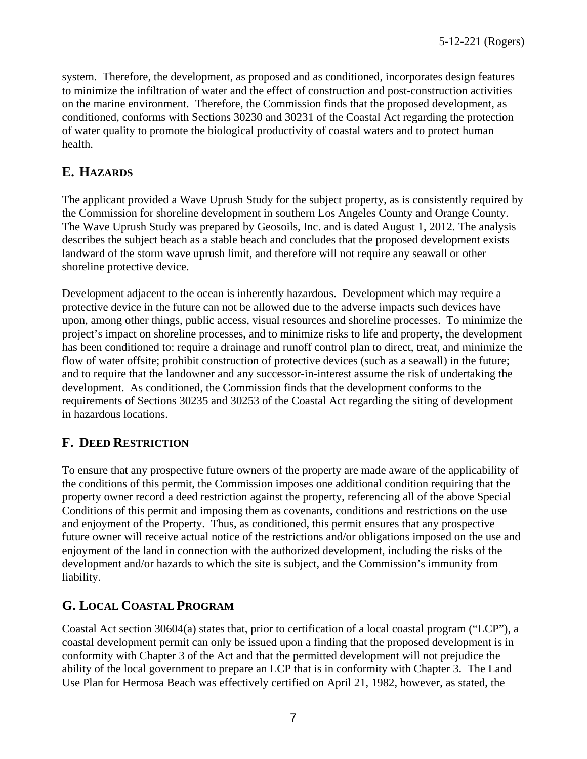system. Therefore, the development, as proposed and as conditioned, incorporates design features to minimize the infiltration of water and the effect of construction and post-construction activities on the marine environment. Therefore, the Commission finds that the proposed development, as conditioned, conforms with Sections 30230 and 30231 of the Coastal Act regarding the protection of water quality to promote the biological productivity of coastal waters and to protect human health.

# <span id="page-6-0"></span>**E. HAZARDS**

The applicant provided a Wave Uprush Study for the subject property, as is consistently required by the Commission for shoreline development in southern Los Angeles County and Orange County. The Wave Uprush Study was prepared by Geosoils, Inc. and is dated August 1, 2012. The analysis describes the subject beach as a stable beach and concludes that the proposed development exists landward of the storm wave uprush limit, and therefore will not require any seawall or other shoreline protective device.

Development adjacent to the ocean is inherently hazardous. Development which may require a protective device in the future can not be allowed due to the adverse impacts such devices have upon, among other things, public access, visual resources and shoreline processes. To minimize the project's impact on shoreline processes, and to minimize risks to life and property, the development has been conditioned to: require a drainage and runoff control plan to direct, treat, and minimize the flow of water offsite; prohibit construction of protective devices (such as a seawall) in the future; and to require that the landowner and any successor-in-interest assume the risk of undertaking the development. As conditioned, the Commission finds that the development conforms to the requirements of Sections 30235 and 30253 of the Coastal Act regarding the siting of development in hazardous locations.

# <span id="page-6-1"></span>**F. DEED RESTRICTION**

To ensure that any prospective future owners of the property are made aware of the applicability of the conditions of this permit, the Commission imposes one additional condition requiring that the property owner record a deed restriction against the property, referencing all of the above Special Conditions of this permit and imposing them as covenants, conditions and restrictions on the use and enjoyment of the Property. Thus, as conditioned, this permit ensures that any prospective future owner will receive actual notice of the restrictions and/or obligations imposed on the use and enjoyment of the land in connection with the authorized development, including the risks of the development and/or hazards to which the site is subject, and the Commission's immunity from liability.

### <span id="page-6-2"></span>**G. LOCAL COASTAL PROGRAM**

Coastal Act section 30604(a) states that, prior to certification of a local coastal program ("LCP"), a coastal development permit can only be issued upon a finding that the proposed development is in conformity with Chapter 3 of the Act and that the permitted development will not prejudice the ability of the local government to prepare an LCP that is in conformity with Chapter 3. The Land Use Plan for Hermosa Beach was effectively certified on April 21, 1982, however, as stated, the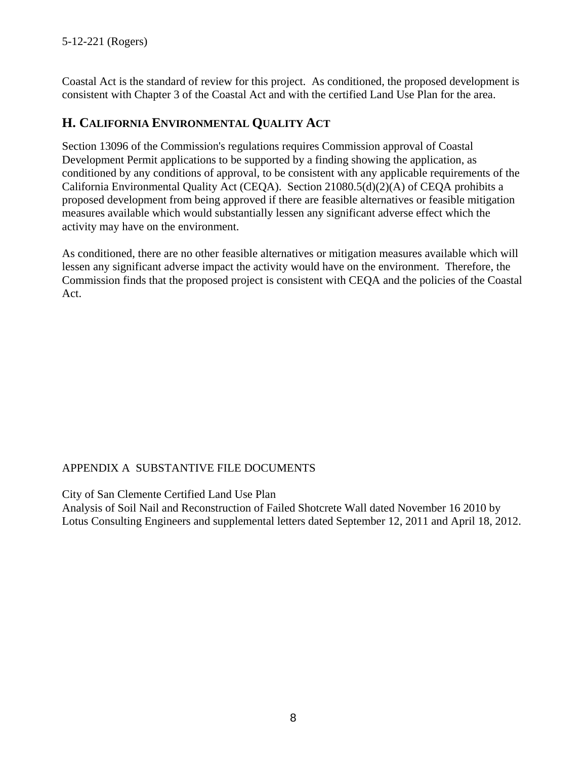Coastal Act is the standard of review for this project. As conditioned, the proposed development is consistent with Chapter 3 of the Coastal Act and with the certified Land Use Plan for the area.

# <span id="page-7-0"></span>**H. CALIFORNIA ENVIRONMENTAL QUALITY ACT**

Section 13096 of the Commission's regulations requires Commission approval of Coastal Development Permit applications to be supported by a finding showing the application, as conditioned by any conditions of approval, to be consistent with any applicable requirements of the California Environmental Quality Act (CEQA). Section 21080.5(d)(2)(A) of CEQA prohibits a proposed development from being approved if there are feasible alternatives or feasible mitigation measures available which would substantially lessen any significant adverse effect which the activity may have on the environment.

As conditioned, there are no other feasible alternatives or mitigation measures available which will lessen any significant adverse impact the activity would have on the environment. Therefore, the Commission finds that the proposed project is consistent with CEQA and the policies of the Coastal Act.

### APPENDIX A SUBSTANTIVE FILE DOCUMENTS

City of San Clemente Certified Land Use Plan

Analysis of Soil Nail and Reconstruction of Failed Shotcrete Wall dated November 16 2010 by Lotus Consulting Engineers and supplemental letters dated September 12, 2011 and April 18, 2012.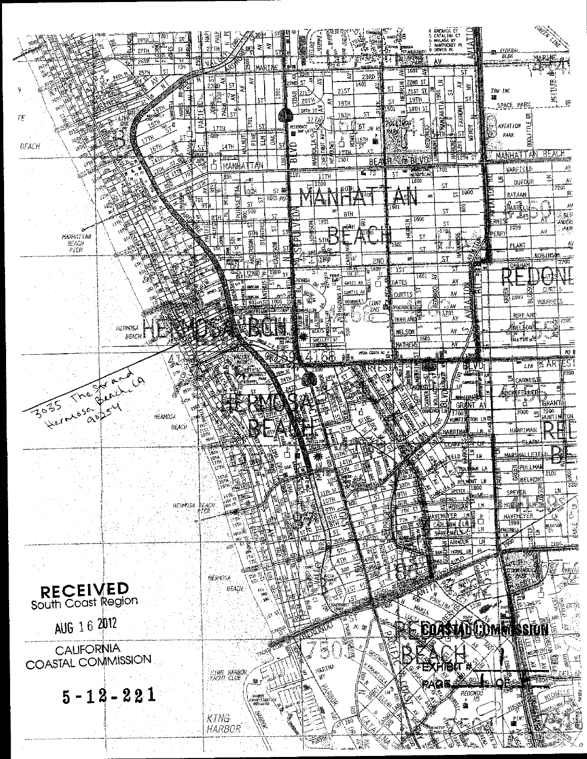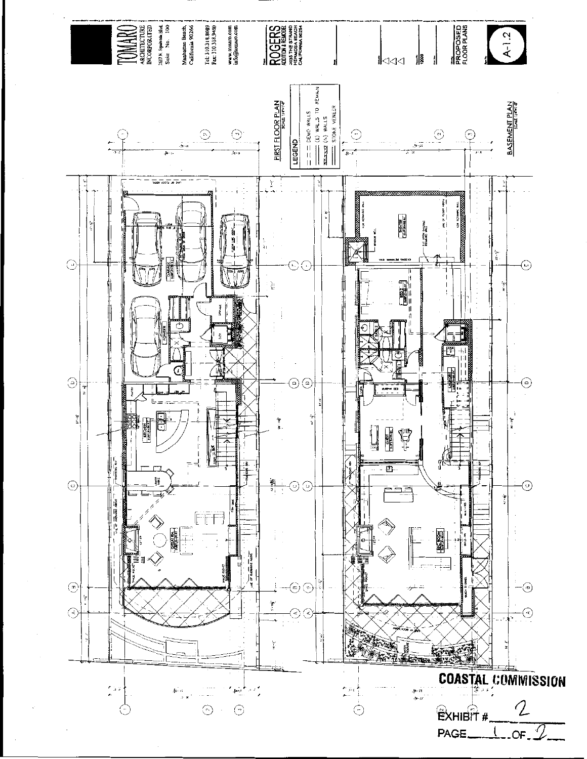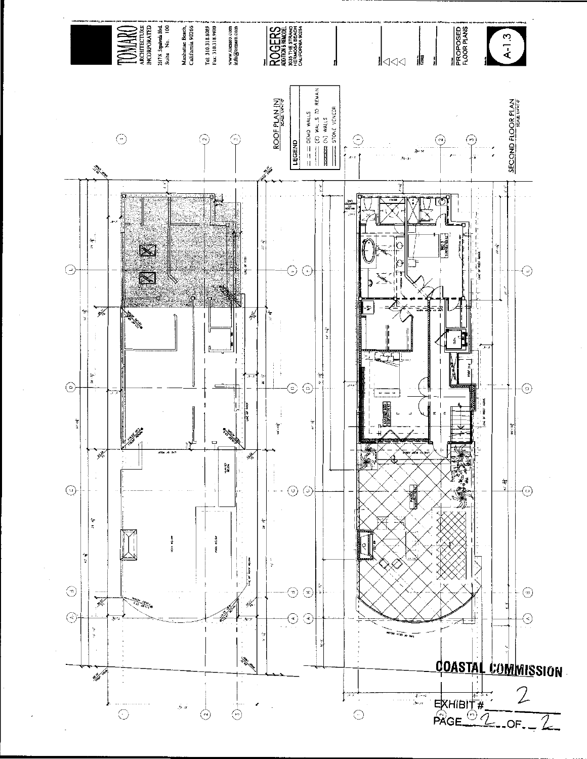